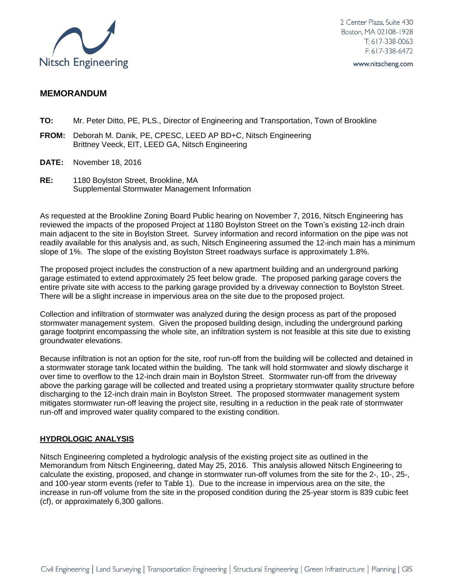

2 Center Plaza, Suite 430 Boston, MA 02108-1928  $T: 617 - 338 - 0063$  $F: 617 - 338 - 6472$ 

www.nitscheng.com

# **MEMORANDUM**

- **TO:** Mr. Peter Ditto, PE, PLS., Director of Engineering and Transportation, Town of Brookline
- **FROM:** Deborah M. Danik, PE, CPESC, LEED AP BD+C, Nitsch Engineering Brittney Veeck, EIT, LEED GA, Nitsch Engineering
- **DATE:** November 18, 2016
- **RE:** 1180 Boylston Street, Brookline, MA Supplemental Stormwater Management Information

As requested at the Brookline Zoning Board Public hearing on November 7, 2016, Nitsch Engineering has reviewed the impacts of the proposed Project at 1180 Boylston Street on the Town's existing 12-inch drain main adjacent to the site in Boylston Street. Survey information and record information on the pipe was not readily available for this analysis and, as such, Nitsch Engineering assumed the 12-inch main has a minimum slope of 1%. The slope of the existing Boylston Street roadways surface is approximately 1.8%.

The proposed project includes the construction of a new apartment building and an underground parking garage estimated to extend approximately 25 feet below grade. The proposed parking garage covers the entire private site with access to the parking garage provided by a driveway connection to Boylston Street. There will be a slight increase in impervious area on the site due to the proposed project.

Collection and infiltration of stormwater was analyzed during the design process as part of the proposed stormwater management system. Given the proposed building design, including the underground parking garage footprint encompassing the whole site, an infiltration system is not feasible at this site due to existing groundwater elevations.

Because infiltration is not an option for the site, roof run-off from the building will be collected and detained in a stormwater storage tank located within the building. The tank will hold stormwater and slowly discharge it over time to overflow to the 12-inch drain main in Boylston Street. Stormwater run-off from the driveway above the parking garage will be collected and treated using a proprietary stormwater quality structure before discharging to the 12-inch drain main in Boylston Street. The proposed stormwater management system mitigates stormwater run-off leaving the project site, resulting in a reduction in the peak rate of stormwater run-off and improved water quality compared to the existing condition.

## **HYDROLOGIC ANALYSIS**

Nitsch Engineering completed a hydrologic analysis of the existing project site as outlined in the Memorandum from Nitsch Engineering, dated May 25, 2016. This analysis allowed Nitsch Engineering to calculate the existing, proposed, and change in stormwater run-off volumes from the site for the 2-, 10-, 25-, and 100-year storm events (refer to Table 1). Due to the increase in impervious area on the site, the increase in run-off volume from the site in the proposed condition during the 25-year storm is 839 cubic feet (cf), or approximately 6,300 gallons.